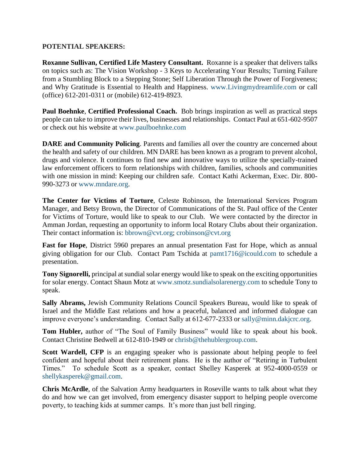## **POTENTIAL SPEAKERS:**

**Roxanne Sullivan, Certified Life Mastery Consultant.** Roxanne is a speaker that delivers talks on topics such as: The Vision Workshop - 3 Keys to Accelerating Your Results; Turning Failure from a Stumbling Block to a Stepping Stone; Self Liberation Through the Power of Forgiveness; and Why Gratitude is Essential to Health and Happiness. [www.Livingmydreamlife.com](http://www.livingmydreamlife.com/) or call (office) 612-201-0311 or (mobile) 612-419-8923.

**Paul Boehnke**, **Certified Professional Coach.** Bob brings inspiration as well as practical steps people can take to improve their lives, businesses and relationships. Contact Paul at 651-602-9507 or check out his website at [www.paulboehnke.com](http://www.paulboehnke.com/)

**DARE and Community Policing**. Parents and families all over the country are concerned about the health and safety of our children. MN DARE has been known as a program to prevent alcohol, drugs and violence. It continues to find new and innovative ways to utilize the specially-trained law enforcement officers to form relationships with children, families, schools and communities with one mission in mind: Keeping our children safe. Contact Kathi Ackerman, Exec. Dir. 800- 990-3273 or [www.mndare.org.](http://www.mndare.org/)

**The Center for Victims of Torture**, Celeste Robinson, the International Services Program Manager, and Betsy Brown, the Director of Communications of the St. Paul office of the Center for Victims of Torture, would like to speak to our Club. We were contacted by the director in Amman Jordan, requesting an opportunity to inform local Rotary Clubs about their organization. Their contact information is: [bbrown@cvt.org;](mailto:bbrown@cvt.org) [crobinson@cvt.org](mailto:crobinson@cvt.org)

**Fast for Hope**, District 5960 prepares an annual presentation Fast for Hope, which as annual giving obligation for our Club. Contact Pam Tschida at [pamt1716@icould.com](mailto:pamt1716@icould.com) to schedule a presentation.

**Tony Signorelli,** principal at sundial solar energy would like to speak on the exciting opportunities for solar energy. Contact Shaun Motz at [www.smotz.sundialsolarenergy.com](http://www.smotz.sundialsolarenergy.com/) to schedule Tony to speak.

**Sally Abrams,** Jewish Community Relations Council Speakers Bureau, would like to speak of Israel and the Middle East relations and how a peaceful, balanced and informed dialogue can improve everyone's understanding. Contact Sally at 612-677-2333 or [sally@minn.dakjcrc.org.](mailto:sally@minn.dakjcrc.org)

**Tom Hubler,** author of "The Soul of Family Business" would like to speak about his book. Contact Christine Bedwell at 612-810-1949 or [chrisb@thehublergroup.com.](mailto:chrisb@thehublergroup.com)

**Scott Wardell, CFP** is an engaging speaker who is passionate about helping people to feel confident and hopeful about their retirement plans. He is the author of "Retiring in Turbulent Times." To schedule Scott as a speaker, contact Shelley Kasperek at 952-4000-0559 or [shellykasperek@gmail.com.](mailto:shellykasperek@gmail.com)

**Chris McArdle**, of the Salvation Army headquarters in Roseville wants to talk about what they do and how we can get involved, from emergency disaster support to helping people overcome poverty, to teaching kids at summer camps. It's more than just bell ringing.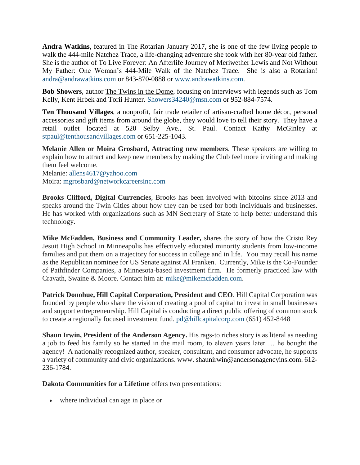**Andra Watkins**, featured in The Rotarian January 2017, she is one of the few living people to walk the 444-mile Natchez Trace, a life-changing adventure she took with her 80-year old father. She is the author of To Live Forever: An Afterlife Journey of Meriwether Lewis and Not Without My Father: One Woman's 444-Mile Walk of the Natchez Trace. She is also a Rotarian! [andra@andrawatkins.com](mailto:andra@andrawatkins.com) or 843-870-0888 or [www.andrawatkins.com.](http://www.andrawatkins.com/)

**Bob Showers**, author The Twins in the Dome, focusing on interviews with legends such as Tom Kelly, Kent Hrbek and Torii Hunter. [Showers34240@msn.com](mailto:Showers34240@msn.com) or 952-884-7574.

**Ten Thousand Villages**, a nonprofit, fair trade retailer of artisan-crafted home décor, personal accessories and gift items from around the globe, they would love to tell their story. They have a retail outlet located at 520 Selby Ave., St. Paul. Contact Kathy McGinley at [stpaul@tenthousandvillages.com](mailto:stpaul@tenthousandvillages.com) or 651-225-1043.

**Melanie Allen or Moira Grosbard, Attracting new members**. These speakers are willing to explain how to attract and keep new members by making the Club feel more inviting and making them feel welcome.

Melanie: [allens4617@yahoo.com](mailto:allens4617@yahoo.com) Moira: [mgrosbard@networkcareersinc.com](mailto:mgrosbard@networkcareersinc.com)

**Brooks Clifford, Digital Currencies**, Brooks has been involved with bitcoins since 2013 and speaks around the Twin Cities about how they can be used for both individuals and businesses. He has worked with organizations such as MN Secretary of State to help better understand this technology.

**Mike McFadden, Business and Community Leader,** shares the story of how the Cristo Rey Jesuit High School in Minneapolis has effectively educated minority students from low-income families and put them on a trajectory for success in college and in life. You may recall his name as the Republican nominee for US Senate against Al Franken. Currently, Mike is the Co-Founder of Pathfinder Companies, a Minnesota-based investment firm. He formerly practiced law with Cravath, Swaine & Moore. Contact him at: [mike@mikemcfadden.com.](mailto:mike@mikemcfadden.com)

**Patrick Donohue, Hill Capital Corporation, President and CEO**. Hill Capital Corporation was founded by people who share the vision of creating a pool of capital to invest in small businesses and support entrepreneurship. Hill Capital is conducting a direct public offering of common stock to create a regionally focused investment fund. [pd@hillcapitalcorp.com](mailto:pd@hillcapitalcorp.com) (651) 452-8448

**Shaun Irwin, President of the Anderson Agency.** His rags-to riches story is as literal as needing a job to feed his family so he started in the mail room, to eleven years later … he bought the agency! A nationally recognized author, speaker, consultant, and consumer advocate, he supports a variety of community and civic organizations. www. [shaunirwin@andersonagencyins.com.](mailto:shaunirwin@andersonagencyins.com) 612- 236-1784.

**Dakota Communities for a Lifetime** offers two presentations:

• where individual can age in place or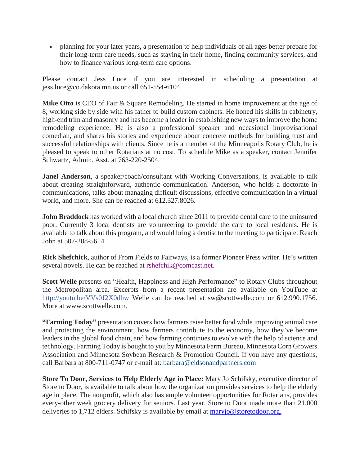• planning for your later years, a presentation to help individuals of all ages better prepare for their long-term care needs, such as staying in their home, finding community services, and how to finance various long-term care options.

Please contact Jess Luce if you are interested in scheduling a presentation at jess.luce@co.dakota.mn.us or call 651-554-6104.

**Mike Otto** is CEO of Fair & Square Remodeling. He started in home improvement at the age of 8, working side by side with his father to build custom cabinets. He honed his skills in cabinetry, high-end trim and masonry and has become a leader in establishing new ways to improve the home remodeling experience. He is also a professional speaker and occasional improvisational comedian, and shares his stories and experience about concrete methods for building trust and successful relationships with clients. Since he is a member of the Minneapolis Rotary Club, he is pleased to speak to other Rotarians at no cost. To schedule Mike as a speaker, contact Jennifer Schwartz, Admin. Asst. at 763-220-2504.

**Janel Anderson**, a speaker/coach/consultant with Working Conversations, is available to talk about creating straightforward, authentic communication. Anderson, who holds a doctorate in communications, talks about managing difficult discussions, effective communication in a virtual world, and more. She can be reached at 612.327.8026.

**John Braddock** has worked with a local church since 2011 to provide dental care to the uninsured poor. Currently 3 local dentists are volunteering to provide the care to local residents. He is available to talk about this program, and would bring a dentist to the meeting to participate. Reach John at 507-208-5614.

**Rick Shefchick**, author of From Fields to Fairways, is a former Pioneer Press writer. He's written several novels. He can be reached at [rshefchik@comcast.net.](mailto:rshefchik@comcast.net)

Scott Welle presents on "Health, Happiness and High Performance" to Rotary Clubs throughout the Metropolitan area. Excerpts from a recent presentation are available on YouTube at <http://youtu.be/VVs0J2X0dhw> Welle can be reached at sw@scottwelle.com or 612.990.1756. More at www.scottwelle.com.

**"Farming Today"** presentation covers how farmers raise better food while improving animal care and protecting the environment, how farmers contribute to the economy, how they've become leaders in the global food chain, and how farming continues to evolve with the help of science and technology. Farming Today is bought to you by Minnesota Farm Bureau, Minnesota Corn Growers Association and Minnesota Soybean Research & Promotion Council. If you have any questions, call Barbara at 800-711-0747 or e-mail at: [barbara@eidsonandpartners.com](mailto:barbara@eidsonandpartners.com)

**Store To Door, Services to Help Elderly Age in Place:** Mary Jo Schifsky, executive director of Store to Door, is available to talk about how the organization provides services to help the elderly age in place. The nonprofit, which also has ample volunteer opportunities for Rotarians, provides every-other week grocery delivery for seniors. Last year, Store to Door made more than 21,000 deliveries to 1,712 elders. Schifsky is available by email at [maryjo@storetodoor.org.](mailto:maryjo@storetodoor.org)